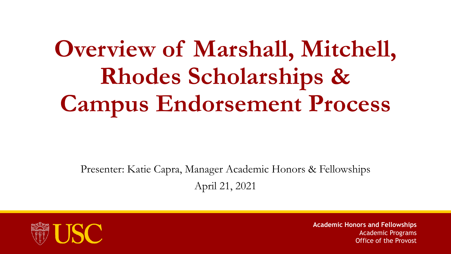# **Overview of Marshall, Mitchell, Rhodes Scholarships & Campus Endorsement Process**

Presenter: Katie Capra, Manager Academic Honors & Fellowships April 21, 2021

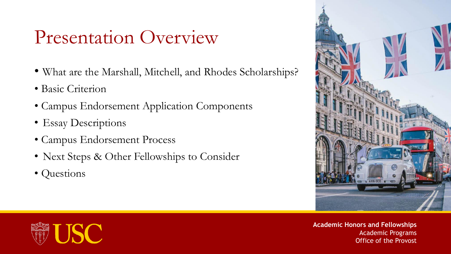## Presentation Overview

- What are the Marshall, Mitchell, and Rhodes Scholarships?
- Basic Criterion
- Campus Endorsement Application Components
- Essay Descriptions
- Campus Endorsement Process
- Next Steps & Other Fellowships to Consider
- Questions



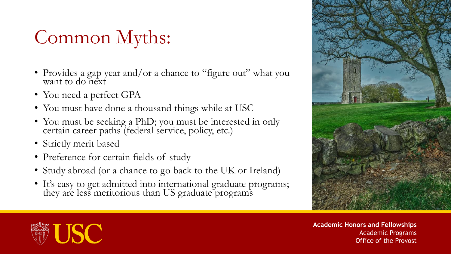## Common Myths:

- Provides a gap year and/or a chance to "figure out" what you want to do next
- You need a perfect GPA
- You must have done a thousand things while at USC
- You must be seeking a PhD; you must be interested in only certain career paths (federal service, policy, etc.)
- Strictly merit based
- Preference for certain fields of study
- Study abroad (or a chance to go back to the UK or Ireland)
- It's easy to get admitted into international graduate programs; they are less meritorious than US graduate programs



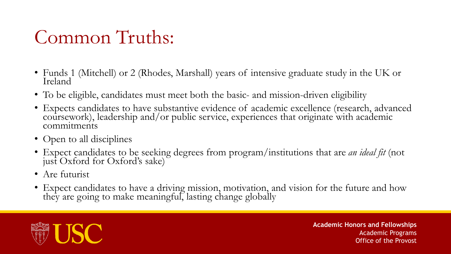## Common Truths:

- Funds 1 (Mitchell) or 2 (Rhodes, Marshall) years of intensive graduate study in the UK or Ireland
- To be eligible, candidates must meet both the basic- and mission-driven eligibility
- Expects candidates to have substantive evidence of academic excellence (research, advanced coursework), leadership and/or public service, experiences that originate with academic commitments
- Open to all disciplines
- Expect candidates to be seeking degrees from program/institutions that are *an ideal fit* (not just Oxford for Oxford's sake)
- Are futurist
- Expect candidates to have a driving mission, motivation, and vision for the future and how they are going to make meaningful, lasting change globally

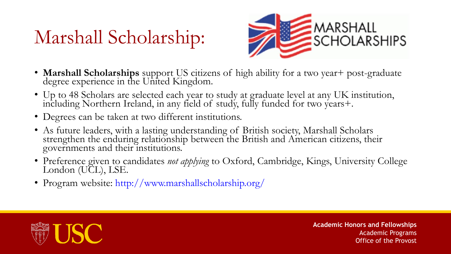## Marshall Scholarship:



- **Marshall Scholarships** support US citizens of high ability for a two year+ post-graduate degree experience in the United Kingdom.
- Up to 48 Scholars are selected each year to study at graduate level at any UK institution, including Northern Ireland, in any field of study, fully funded for two years+.
- Degrees can be taken at two different institutions.
- As future leaders, with a lasting understanding of British society, Marshall Scholars strengthen the enduring relationship between the British and American citizens, their governments and their institutions.
- Preference given to candidates *not applying* to Oxford, Cambridge, Kings, University College London (UCL), LSE.
- Program website: http://www.marshallscholarship.org/

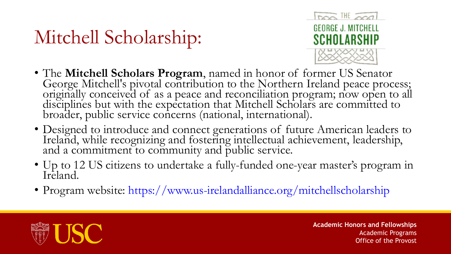## Mitchell Scholarship:



- The **Mitchell Scholars Program**, named in honor of former US Senator George Mitchell's pivotal contribution to the Northern Ireland peace process; originally conceived of as a peace and reconciliation program; now open to all disciplines but with the expectation that Mitchell Scholars are committed to broader, public service concerns (national, international).
- Designed to introduce and connect generations of future American leaders to Ireland, while recognizing and fostering intellectual achievement, leadership, and a commitment to community and public service.
- Up to 12 US citizens to undertake a fully-funded one-year master's program in Ireland.
- Program website: https://www.us-irelandalliance.org/mitchellscholarship

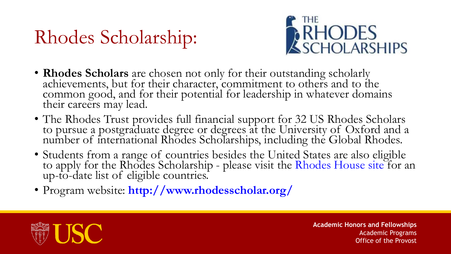## Rhodes Scholarship:



- **Rhodes Scholars** are chosen not only for their outstanding scholarly achievements, but for their character, commitment to others and to the common good, and for their potential for leadership in whatever domains their careers may lead.
- The Rhodes Trust provides full financial support for 32 US Rhodes Scholars to pursue a postgraduate degree or degrees at the University of Oxford and a number of international Rhodes Scholarships, including the Global Rhodes.
- Students from a range of countries besides the United States are also eligible to apply for the Rhodes Scholarship - please visit the Rhodes House site for an up-to-date list of eligible countries.
- Program website: **http://www.rhodesscholar.org/**

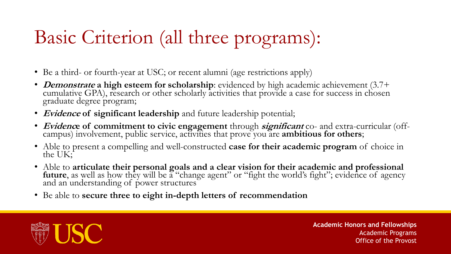## Basic Criterion (all three programs):

- Be a third- or fourth-year at USC; or recent alumni (age restrictions apply)
- *Demonstrate* a high esteem for scholarship: evidenced by high academic achievement (3.7+ cumulative GPA), research or other scholarly activities that provide a case for success in chosen graduate degree program;
- **Evidence of significant leadership** and future leadership potential;
- **Evidence of commitment to civic engagement** through **significant** co- and extra-curricular (offcampus) involvement, public service, activities that prove you are **ambitious for others**;
- Able to present a compelling and well-constructed **case for their academic program** of choice in the UK;
- Able to **articulate their personal goals and a clear vision for their academic and professional future**, as well as how they will be a "change agent" or "fight the world's fight"; evidence of agency and an understanding of power structures
- Be able to **secure three to eight in-depth letters of recommendation**

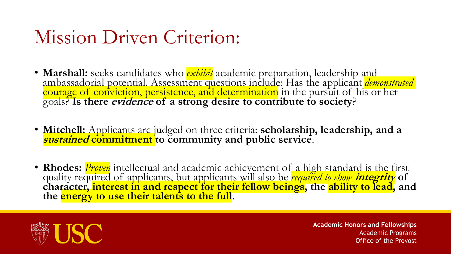## Mission Driven Criterion:

- **Marshall:** seeks candidates who *exhibit* academic preparation, leadership and ambassadorial potential. Assessment questions include: Has the applicant *demonstrated*  courage of conviction, persistence, and determination in the pursuit of his or her goals? **Is there evidence of a strong desire to contribute to society**?
- **Mitchell:** Applicants are judged on three criteria: **scholarship, leadership, and a sustained commitment to community and public service**.
- **Rhodes:** *Proven* intellectual and academic achievement of a high standard is the first quality required of applicants, but applicants will also be *required to show* **integrity of character, interest in and respect for their fellow beings, the ability to lead, and the energy to use their talents to the full**.

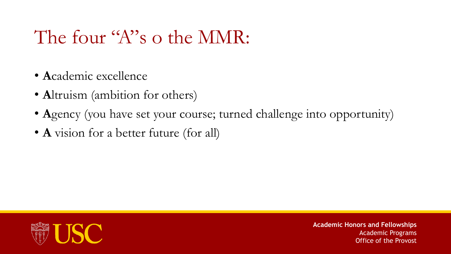## The four "A"s o the MMR:

- **A**cademic excellence
- **Altruism** (ambition for others)
- **A**gency (you have set your course; turned challenge into opportunity)
- **A** vision for a better future (for all)

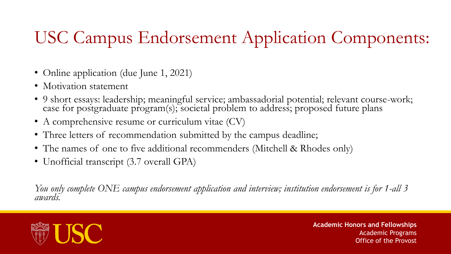### USC Campus Endorsement Application Components:

- Online application (due June 1, 2021)
- Motivation statement
- 9 short essays: leadership; meaningful service; ambassadorial potential; relevant course-work; case for postgraduate program(s); societal problem to address; proposed future plans
- A comprehensive resume or curriculum vitae (CV)
- Three letters of recommendation submitted by the campus deadline;
- The names of one to five additional recommenders (Mitchell & Rhodes only)
- Unofficial transcript (3.7 overall GPA)

*You only complete ONE campus endorsement application and interview; institution endorsement is for 1-all 3 awards.*

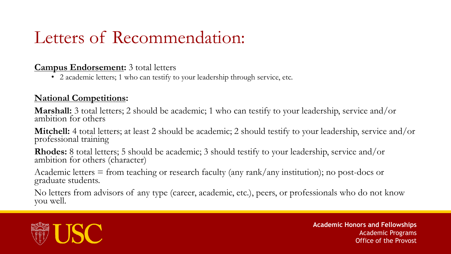### Letters of Recommendation:

#### **Campus Endorsement:** 3 total letters

• 2 academic letters; 1 who can testify to your leadership through service, etc.

#### **National Competitions:**

**Marshall:** 3 total letters; 2 should be academic; 1 who can testify to your leadership, service and/or ambition for others

**Mitchell:** 4 total letters; at least 2 should be academic; 2 should testify to your leadership, service and/or professional training

**Rhodes:** 8 total letters; 5 should be academic; 3 should testify to your leadership, service and/or ambition for others (character)

Academic letters  $=$  from teaching or research faculty (any rank/any institution); no post-docs or graduate students.

No letters from advisors of any type (career, academic, etc.), peers, or professionals who do not know you well.

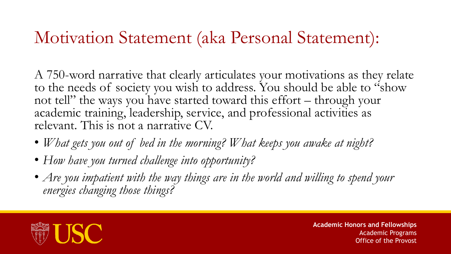### Motivation Statement (aka Personal Statement):

A 750-word narrative that clearly articulates your motivations as they relate to the needs of society you wish to address. You should be able to "show not tell" the ways you have started toward this effort – through your academic training, leadership, service, and professional activities as relevant. This is not a narrative CV.

- *What gets you out of bed in the morning? What keeps you awake at night?*
- *How have you turned challenge into opportunity?*
- Are you impatient with the way things are in the world and willing to spend your *energies changing those things?*

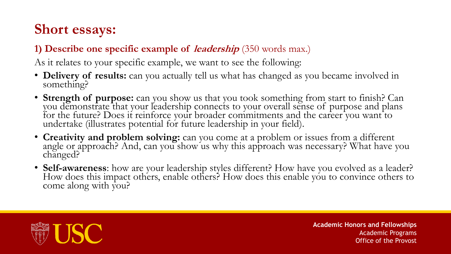### **Short essays:**

#### **1) Describe one specific example of leadership** (350 words max.)

As it relates to your specific example, we want to see the following:

- **Delivery of results:** can you actually tell us what has changed as you became involved in something?
- **Strength of purpose:** can you show us that you took something from start to finish? Can you demonstrate that your leadership connects to your overall sense of purpose and plans for the future? Does it reinforce your broader commitments and the career you want to undertake (illustrates potential for future leadership in your field).
- **Creativity and problem solving:** can you come at a problem or issues from a different angle or approach? And, can you show us why this approach was necessary? What have you changed?
- **Self-awareness**: how are your leadership styles different? How have you evolved as a leader? How does this impact others, enable others? How does this enable you to convince others to come along with you?

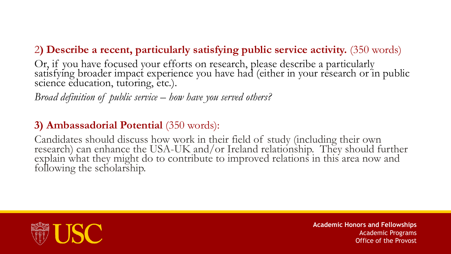### 2**) Describe a recent, particularly satisfying public service activity.** (350 words)

Or, if you have focused your efforts on research, please describe a particularly satisfying broader impact experience you have had (either in your research or in public science education, tutoring, etc.).

*Broad definition of public service – how have you served others?*

#### **3) Ambassadorial Potential** (350 words):

Candidates should discuss how work in their field of study (including their own research) can enhance the USA-UK and/or Ireland relationship. They should further explain what they might do to contribute to improved relations in this area now and following the scholarship.

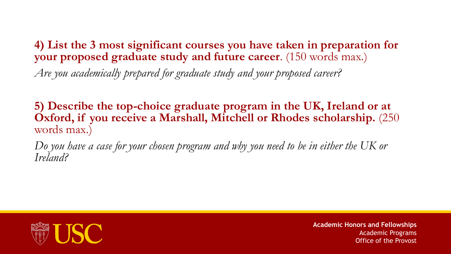**4) List the 3 most significant courses you have taken in preparation for your proposed graduate study and future career**. (150 words max.)

*Are you academically prepared for graduate study and your proposed career?*

**5) Describe the top-choice graduate program in the UK, Ireland or at Oxford, if you receive a Marshall, Mitchell or Rhodes scholarship.** (250 words max.)

*Do you have a case for your chosen program and why you need to be in either the UK or Ireland?*

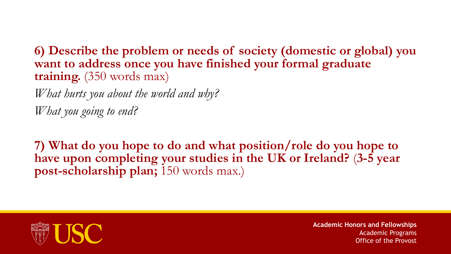**6) Describe the problem or needs of society (domestic or global) you want to address once you have finished your formal graduate training.** (350 words max)

*What hurts you about the world and why? What you going to end?*

**7) What do you hope to do and what position/role do you hope to have upon completing your studies in the UK or Ireland?** (**3-5 year post-scholarship plan;** 150 words max.)

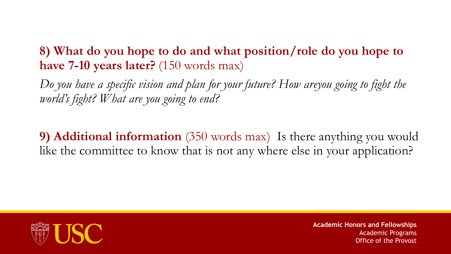### **8) What do you hope to do and what position/role do you hope to have 7-10 years later?** (150 words max)

*Do you have a specific vision and plan for your future? How areyou going to fight the world's fight? What are you going to end?*

**9) Additional information** (350 words max) Is there anything you would like the committee to know that is not any where else in your application?

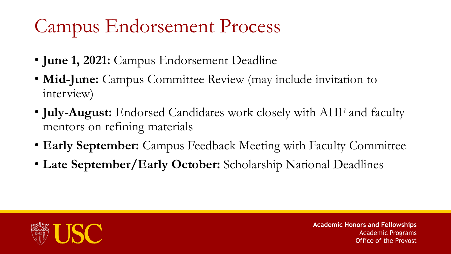## Campus Endorsement Process

- **June 1, 2021:** Campus Endorsement Deadline
- **Mid-June:** Campus Committee Review (may include invitation to interview)
- **July-August:** Endorsed Candidates work closely with AHF and faculty mentors on refining materials
- **Early September:** Campus Feedback Meeting with Faculty Committee
- **Late September/Early October:** Scholarship National Deadlines

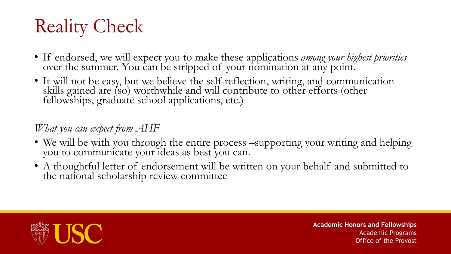## Reality Check

- If endorsed, we will expect you to make these applications *among your highest priorities*  over the summer. You can be stripped of your nomination at any point.
- It will not be easy, but we believe the self-reflection, writing, and communication skills gained are (so) worthwhile and will contribute to other efforts (other fellowships, graduate school applications, etc.)

#### *What you can expect from AHF*

- We will be with you through the entire process –supporting your writing and helping you to communicate your ideas as best you can.
- A thoughtful letter of endorsement will be written on your behalf and submitted to the national scholarship review committee

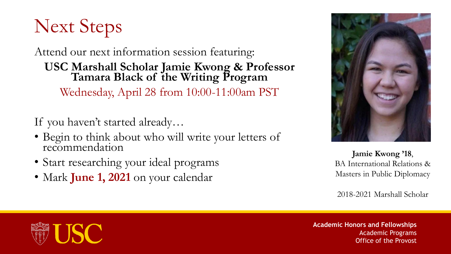## Next Steps

Attend our next information session featuring: **USC Marshall Scholar Jamie Kwong & Professor Tamara Black of the Writing Program**  Wednesday, April 28 from 10:00-11:00am PST

If you haven't started already…

- Begin to think about who will write your letters of recommendation
- Start researching your ideal programs
- Mark **June 1, 2021** on your calendar



**Jamie Kwong '18**, BA International Relations & Masters in Public Diplomacy

2018-2021 Marshall Scholar

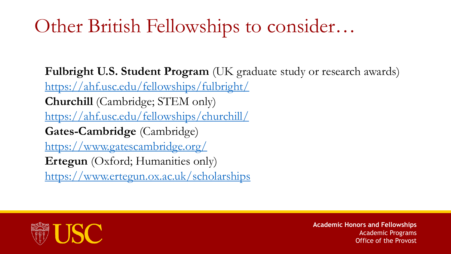## Other British Fellowships to consider…

**Fulbright U.S. Student Program** (UK graduate study or research awards) <https://ahf.usc.edu/fellowships/fulbright/> **Churchill** (Cambridge; STEM only) <https://ahf.usc.edu/fellowships/churchill/> **Gates-Cambridge** (Cambridge) <https://www.gatescambridge.org/> **Ertegun** (Oxford; Humanities only) <https://www.ertegun.ox.ac.uk/scholarships>